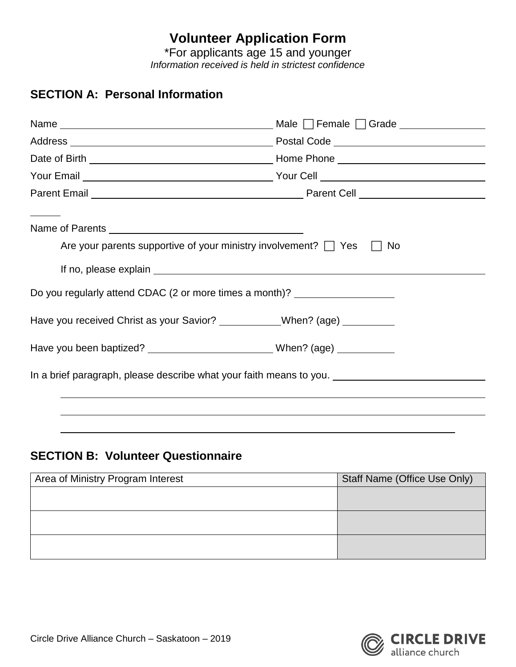## **Volunteer Application Form**

\*For applicants age 15 and younger *Information received is held in strictest confidence*

## **SECTION A: Personal Information**

| Are your parents supportive of your ministry involvement? $\Box$ Yes $\Box$                          | No. |
|------------------------------------------------------------------------------------------------------|-----|
| Do you regularly attend CDAC (2 or more times a month)? ________________________                     |     |
| Have you received Christ as your Savior? ____________When? (age) _________                           |     |
| Have you been baptized? _________________________________When? (age) ___________                     |     |
| In a brief paragraph, please describe what your faith means to you. ________________________________ |     |
|                                                                                                      |     |

## **SECTION B: Volunteer Questionnaire**

| Area of Ministry Program Interest | Staff Name (Office Use Only) |
|-----------------------------------|------------------------------|
|                                   |                              |
|                                   |                              |
|                                   |                              |
|                                   |                              |
|                                   |                              |
|                                   |                              |